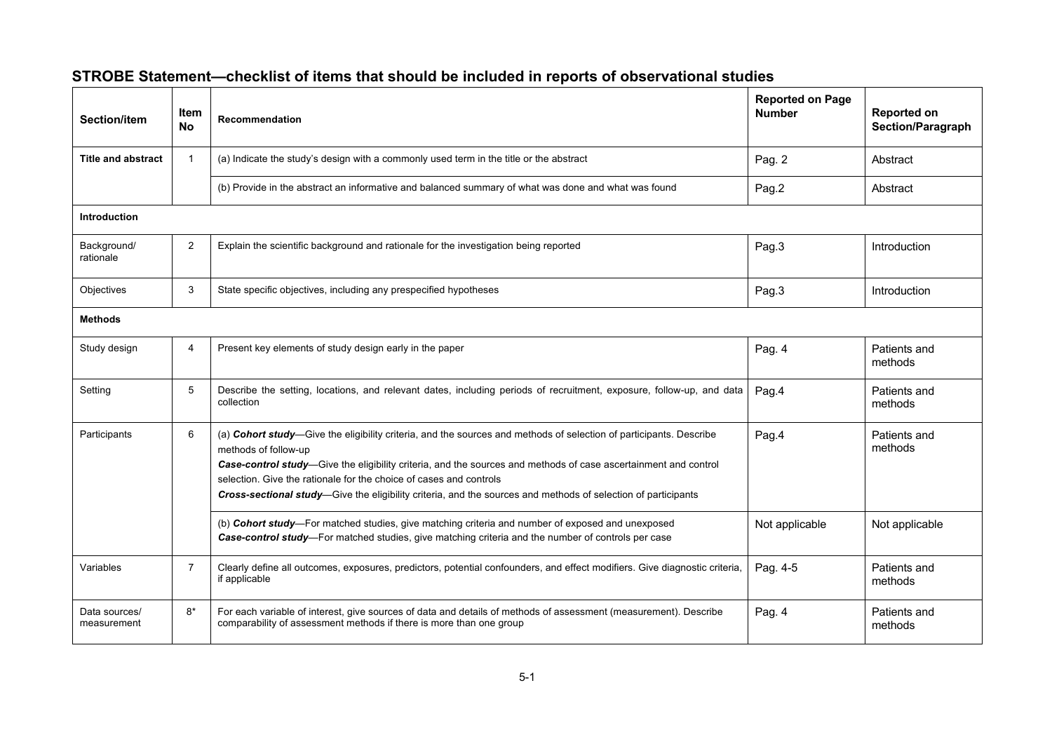| Section/item                 | <b>Item</b><br><b>No</b> | <b>Recommendation</b>                                                                                                                                                                                                                                                                                                                                                                                                                                | <b>Reported on Page</b><br><b>Number</b> | Reported on<br>Section/Paragraph |  |
|------------------------------|--------------------------|------------------------------------------------------------------------------------------------------------------------------------------------------------------------------------------------------------------------------------------------------------------------------------------------------------------------------------------------------------------------------------------------------------------------------------------------------|------------------------------------------|----------------------------------|--|
| <b>Title and abstract</b>    |                          | (a) Indicate the study's design with a commonly used term in the title or the abstract                                                                                                                                                                                                                                                                                                                                                               | Pag. 2                                   | Abstract                         |  |
|                              |                          | (b) Provide in the abstract an informative and balanced summary of what was done and what was found                                                                                                                                                                                                                                                                                                                                                  | Pag.2                                    | Abstract                         |  |
| Introduction                 |                          |                                                                                                                                                                                                                                                                                                                                                                                                                                                      |                                          |                                  |  |
| Background/<br>rationale     | $\overline{2}$           | Explain the scientific background and rationale for the investigation being reported                                                                                                                                                                                                                                                                                                                                                                 | Pag.3                                    | Introduction                     |  |
| Objectives                   | 3                        | State specific objectives, including any prespecified hypotheses                                                                                                                                                                                                                                                                                                                                                                                     | Pag.3                                    | Introduction                     |  |
| <b>Methods</b>               |                          |                                                                                                                                                                                                                                                                                                                                                                                                                                                      |                                          |                                  |  |
| Study design                 | 4                        | Present key elements of study design early in the paper                                                                                                                                                                                                                                                                                                                                                                                              | Pag. 4                                   | Patients and<br>methods          |  |
| Setting                      | 5                        | Describe the setting, locations, and relevant dates, including periods of recruitment, exposure, follow-up, and data<br>collection                                                                                                                                                                                                                                                                                                                   | Pag.4                                    | Patients and<br>methods          |  |
| Participants                 | 6                        | (a) Cohort study-Give the eligibility criteria, and the sources and methods of selection of participants. Describe<br>methods of follow-up<br>Case-control study-Give the eligibility criteria, and the sources and methods of case ascertainment and control<br>selection. Give the rationale for the choice of cases and controls<br>Cross-sectional study-Give the eligibility criteria, and the sources and methods of selection of participants | Pag.4                                    | Patients and<br>methods          |  |
|                              |                          | (b) Cohort study-For matched studies, give matching criteria and number of exposed and unexposed<br>Case-control study-For matched studies, give matching criteria and the number of controls per case                                                                                                                                                                                                                                               | Not applicable                           | Not applicable                   |  |
| Variables                    | $\overline{7}$           | Clearly define all outcomes, exposures, predictors, potential confounders, and effect modifiers. Give diagnostic criteria,<br>if applicable                                                                                                                                                                                                                                                                                                          | Pag. 4-5                                 | Patients and<br>methods          |  |
| Data sources/<br>measurement | $8*$                     | For each variable of interest, give sources of data and details of methods of assessment (measurement). Describe<br>comparability of assessment methods if there is more than one group                                                                                                                                                                                                                                                              | Pag. 4                                   | Patients and<br>methods          |  |

## **STROBE Statement—checklist of items that should be included in reports of observational studies**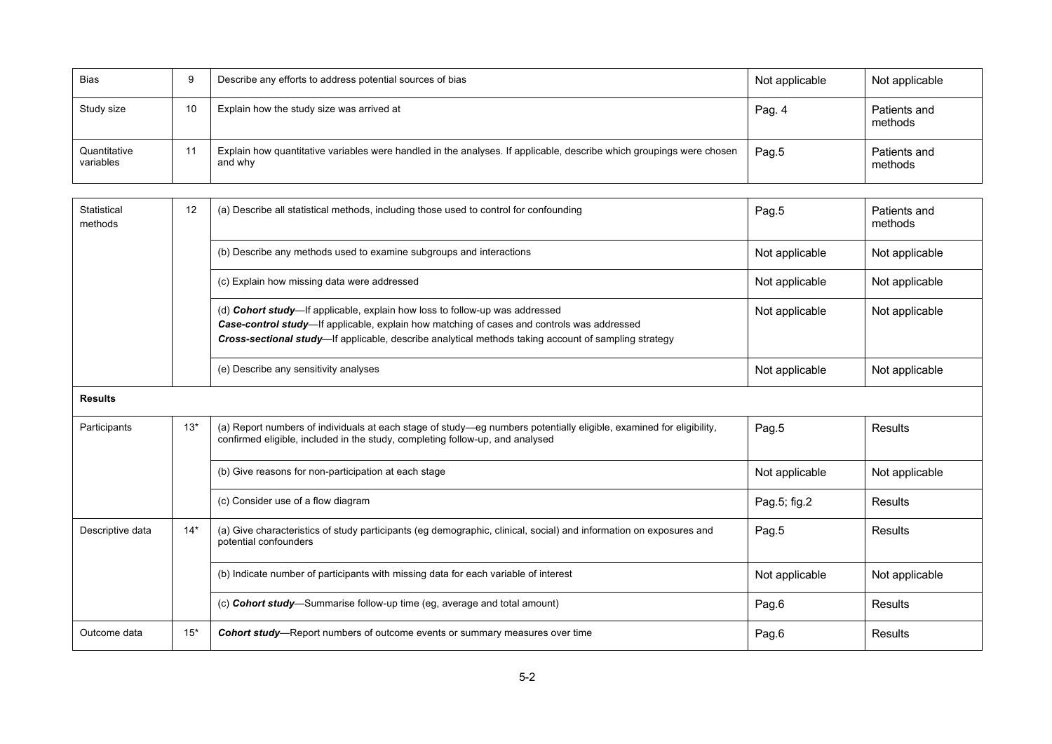| Bias                      |    | Describe any efforts to address potential sources of bias                                                                       | Not applicable | Not applicable          |
|---------------------------|----|---------------------------------------------------------------------------------------------------------------------------------|----------------|-------------------------|
| Study size                | 10 | Explain how the study size was arrived at                                                                                       | Pag. 4         | Patients and<br>methods |
| Quantitative<br>variables |    | Explain how quantitative variables were handled in the analyses. If applicable, describe which groupings were chosen<br>and why | Pag.5          | Patients and<br>methods |

| Statistical<br>methods | 12    | (a) Describe all statistical methods, including those used to control for confounding                                                                                                                                                                                                     | Pag.5          | Patients and<br>methods |
|------------------------|-------|-------------------------------------------------------------------------------------------------------------------------------------------------------------------------------------------------------------------------------------------------------------------------------------------|----------------|-------------------------|
|                        |       | (b) Describe any methods used to examine subgroups and interactions                                                                                                                                                                                                                       | Not applicable | Not applicable          |
|                        |       | (c) Explain how missing data were addressed                                                                                                                                                                                                                                               | Not applicable | Not applicable          |
|                        |       | (d) <b>Cohort study</b> —If applicable, explain how loss to follow-up was addressed<br>Case-control study—If applicable, explain how matching of cases and controls was addressed<br>Cross-sectional study—If applicable, describe analytical methods taking account of sampling strategy | Not applicable | Not applicable          |
|                        |       | (e) Describe any sensitivity analyses                                                                                                                                                                                                                                                     | Not applicable | Not applicable          |
| <b>Results</b>         |       |                                                                                                                                                                                                                                                                                           |                |                         |
| Participants           | $13*$ | (a) Report numbers of individuals at each stage of study—eg numbers potentially eligible, examined for eligibility,<br>confirmed eligible, included in the study, completing follow-up, and analysed                                                                                      | Pag.5          | Results                 |
|                        |       | (b) Give reasons for non-participation at each stage                                                                                                                                                                                                                                      | Not applicable | Not applicable          |
|                        |       | (c) Consider use of a flow diagram                                                                                                                                                                                                                                                        | Pag.5; fig.2   | <b>Results</b>          |
| Descriptive data       | $14*$ | (a) Give characteristics of study participants (eg demographic, clinical, social) and information on exposures and<br>potential confounders                                                                                                                                               | Pag.5          | Results                 |
|                        |       | (b) Indicate number of participants with missing data for each variable of interest                                                                                                                                                                                                       | Not applicable | Not applicable          |
|                        |       | (c) Cohort study-Summarise follow-up time (eg, average and total amount)                                                                                                                                                                                                                  | Pag.6          | Results                 |
| Outcome data           | $15*$ | <b>Cohort study</b> —Report numbers of outcome events or summary measures over time                                                                                                                                                                                                       | Pag.6          | Results                 |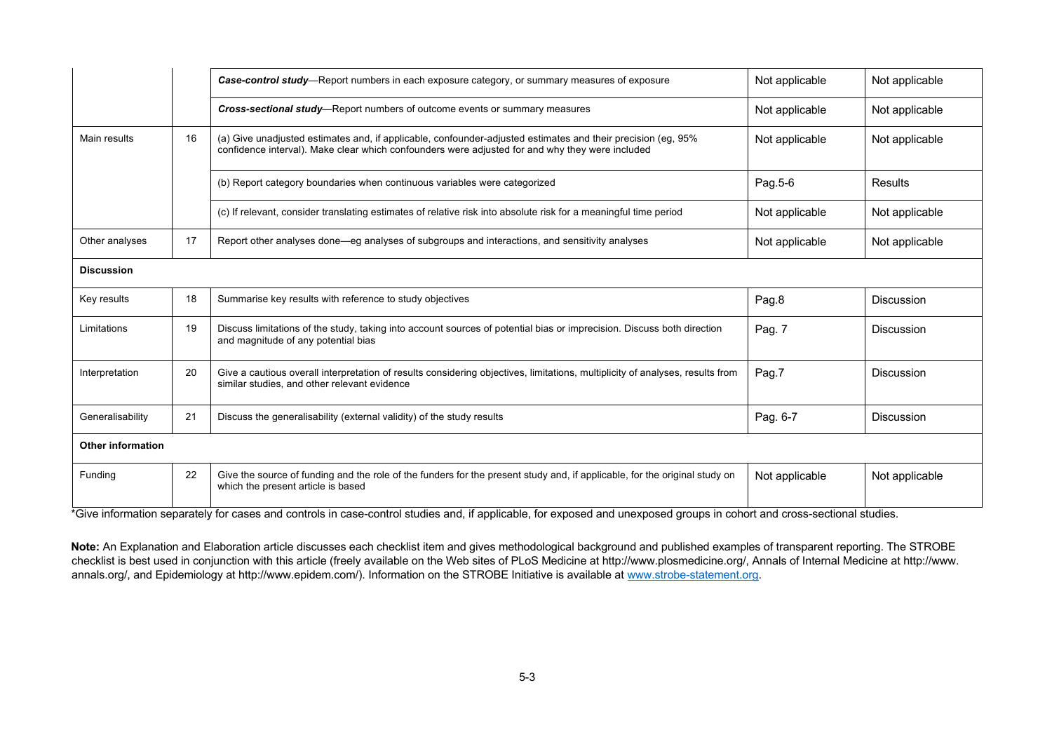|                          |    | Case-control study-Report numbers in each exposure category, or summary measures of exposure                                                                                                                    | Not applicable | Not applicable    |
|--------------------------|----|-----------------------------------------------------------------------------------------------------------------------------------------------------------------------------------------------------------------|----------------|-------------------|
|                          |    | <b>Cross-sectional study</b> —Report numbers of outcome events or summary measures                                                                                                                              | Not applicable | Not applicable    |
| Main results             | 16 | (a) Give unadjusted estimates and, if applicable, confounder-adjusted estimates and their precision (eg, 95%<br>confidence interval). Make clear which confounders were adjusted for and why they were included | Not applicable | Not applicable    |
|                          |    | (b) Report category boundaries when continuous variables were categorized                                                                                                                                       | Pag.5-6        | Results           |
|                          |    | (c) If relevant, consider translating estimates of relative risk into absolute risk for a meaningful time period                                                                                                | Not applicable | Not applicable    |
| Other analyses           | 17 | Report other analyses done—eg analyses of subgroups and interactions, and sensitivity analyses                                                                                                                  | Not applicable | Not applicable    |
| <b>Discussion</b>        |    |                                                                                                                                                                                                                 |                |                   |
| Key results              | 18 | Summarise key results with reference to study objectives                                                                                                                                                        | Pag.8          | Discussion        |
| Limitations              | 19 | Discuss limitations of the study, taking into account sources of potential bias or imprecision. Discuss both direction<br>and magnitude of any potential bias                                                   | Pag. 7         | Discussion        |
| Interpretation           | 20 | Give a cautious overall interpretation of results considering objectives, limitations, multiplicity of analyses, results from<br>similar studies, and other relevant evidence                                   | Pag.7          | Discussion        |
| Generalisability         | 21 | Discuss the generalisability (external validity) of the study results                                                                                                                                           | Pag. 6-7       | <b>Discussion</b> |
| <b>Other information</b> |    |                                                                                                                                                                                                                 |                |                   |
| Funding                  | 22 | Give the source of funding and the role of the funders for the present study and, if applicable, for the original study on<br>which the present article is based                                                | Not applicable | Not applicable    |

\*Give information separately for cases and controls in case-control studies and, if applicable, for exposed and unexposed groups in cohort and cross-sectional studies.

**Note:** An Explanation and Elaboration article discusses each checklist item and gives methodological background and published examples of transparent reporting. The STROBE checklist is best used in conjunction with this article (freely available on the Web sites of PLoS Medicine at http://www.plosmedicine.org/, Annals of Internal Medicine at http://www. annals.org/, and Epidemiology at http://www.epidem.com/). Information on the STROBE Initiative is available at www.strobe-statement.org.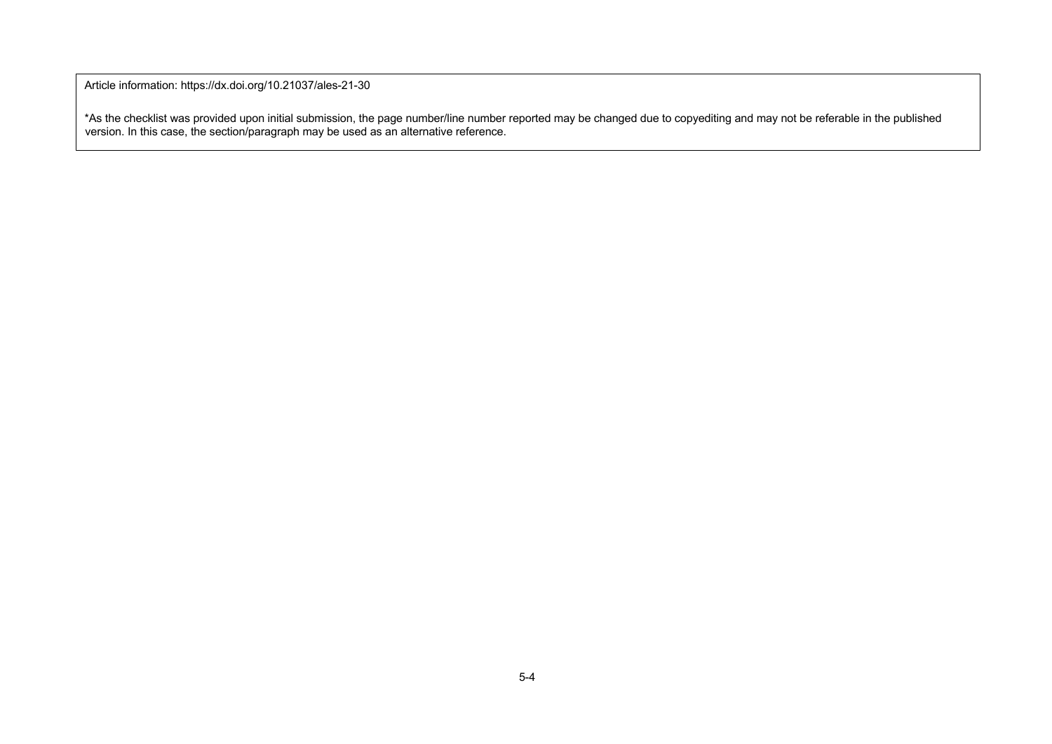Article information: https://dx.doi.org/10.21037/ales-21-30

\*As the checklist was provided upon initial submission, the page number/line number reported may be changed due to copyediting and may not be referable in the published version. In this case, the section/paragraph may be used as an alternative reference.